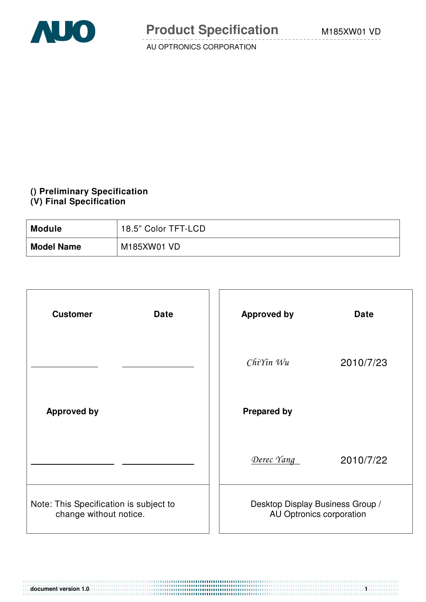

## **() Preliminary Specification (V) Final Specification**

| <b>Module</b>     | 18.5" Color TFT-LCD |
|-------------------|---------------------|
| <b>Model Name</b> | M185XW01 VD         |

| <b>Customer</b><br><b>Date</b>                                   | <b>Approved by</b>                                           | <b>Date</b> |
|------------------------------------------------------------------|--------------------------------------------------------------|-------------|
|                                                                  | $ChiYin$ $Wu$                                                | 2010/7/23   |
| <b>Approved by</b>                                               | <b>Prepared by</b>                                           |             |
|                                                                  | Derec Yang                                                   | 2010/7/22   |
| Note: This Specification is subject to<br>change without notice. | Desktop Display Business Group /<br>AU Optronics corporation |             |

**document version 1.0** 1.1 **1.1** 1.1 **1.1** 1.1 **1.1** 1.1 **1.1** 1.1 **1.1** 1.1 **1.1** 1.1 **1.1** 1.1 **1.1** 1.1 **1.1** 1.1 **1.1** 1.1 **1.1** 1.1 **1.1** 1.1 **1.1** 1.1 **1.1** 1.1 **1.1** 1.1 **1.1** 1.1 **1.1** 1.1 **1.1** 1.1 **1.1** 1.1 **1.1**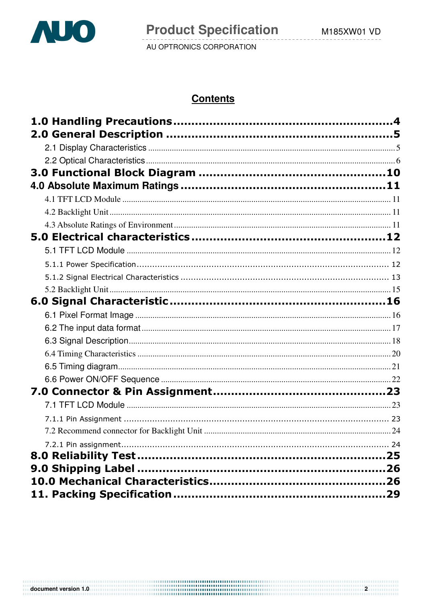

# **Contents**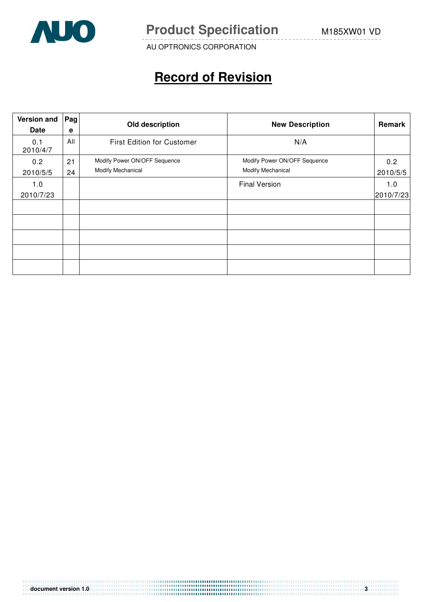

**Product Specification** M185XW01 VD

AU OPTRONICS CORPORATION

# **Record of Revision**

| <b>Version and</b><br><b>Date</b> | Pag<br>e | Old description                                   | <b>New Description</b>                            | Remark           |
|-----------------------------------|----------|---------------------------------------------------|---------------------------------------------------|------------------|
| 0.1<br>2010/4/7                   | All      | <b>First Edition for Customer</b>                 | N/A                                               |                  |
| 0.2<br>2010/5/5                   | 21<br>24 | Modify Power ON/OFF Sequence<br>Modify Mechanical | Modify Power ON/OFF Sequence<br>Modify Mechanical | 0.2<br>2010/5/5  |
| 1.0<br>2010/7/23                  |          |                                                   | <b>Final Version</b>                              | 1.0<br>2010/7/23 |
|                                   |          |                                                   |                                                   |                  |
|                                   |          |                                                   |                                                   |                  |
|                                   |          |                                                   |                                                   |                  |
|                                   |          |                                                   |                                                   |                  |
|                                   |          |                                                   |                                                   |                  |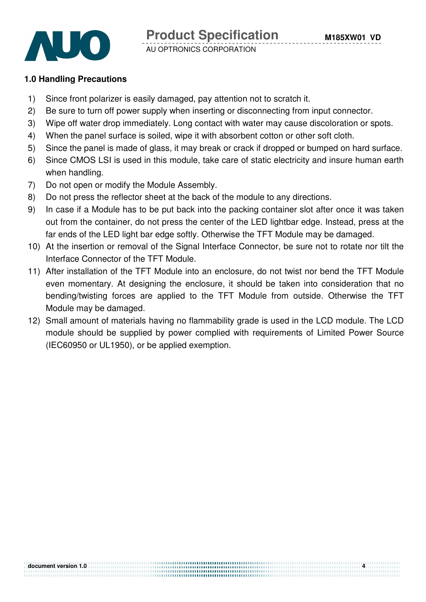

## **1.0 Handling Precautions**

- 1) Since front polarizer is easily damaged, pay attention not to scratch it.
- 2) Be sure to turn off power supply when inserting or disconnecting from input connector.
- 3) Wipe off water drop immediately. Long contact with water may cause discoloration or spots.
- 4) When the panel surface is soiled, wipe it with absorbent cotton or other soft cloth.
- 5) Since the panel is made of glass, it may break or crack if dropped or bumped on hard surface.
- 6) Since CMOS LSI is used in this module, take care of static electricity and insure human earth when handling.
- 7) Do not open or modify the Module Assembly.
- 8) Do not press the reflector sheet at the back of the module to any directions.
- 9) In case if a Module has to be put back into the packing container slot after once it was taken out from the container, do not press the center of the LED lightbar edge. Instead, press at the far ends of the LED light bar edge softly. Otherwise the TFT Module may be damaged.
- 10) At the insertion or removal of the Signal Interface Connector, be sure not to rotate nor tilt the Interface Connector of the TFT Module.
- 11) After installation of the TFT Module into an enclosure, do not twist nor bend the TFT Module even momentary. At designing the enclosure, it should be taken into consideration that no bending/twisting forces are applied to the TFT Module from outside. Otherwise the TFT Module may be damaged.
- 12) Small amount of materials having no flammability grade is used in the LCD module. The LCD module should be supplied by power complied with requirements of Limited Power Source (IEC60950 or UL1950), or be applied exemption.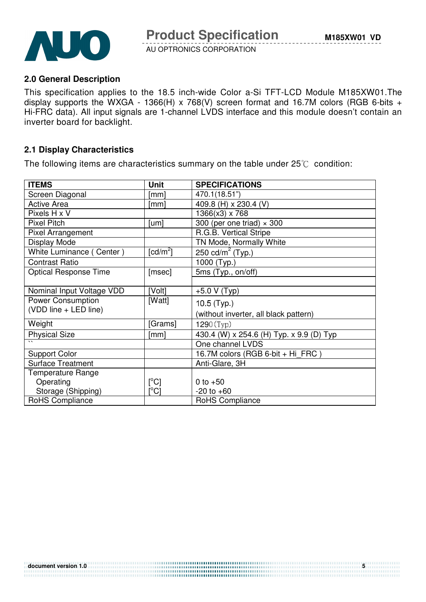

## **2.0 General Description**

This specification applies to the 18.5 inch-wide Color a-Si TFT-LCD Module M185XW01.The display supports the WXGA - 1366(H) x 768(V) screen format and 16.7M colors (RGB 6-bits + Hi-FRC data). All input signals are 1-channel LVDS interface and this module doesn't contain an inverter board for backlight.

## **2.1 Display Characteristics**

The following items are characteristics summary on the table under  $25^{\circ}$  condition:

| <b>ITEMS</b>                 | <b>Unit</b>                           | <b>SPECIFICATIONS</b>                                        |
|------------------------------|---------------------------------------|--------------------------------------------------------------|
| Screen Diagonal              | [mm]                                  | 470.1(18.51")                                                |
| <b>Active Area</b>           | [mm]                                  | 409.8 (H) x 230.4 (V)                                        |
| Pixels H x V                 |                                       | $1366(x3) \times 768$                                        |
| <b>Pixel Pitch</b>           | [um]                                  | 300 (per one triad) $\times$ 300                             |
| <b>Pixel Arrangement</b>     |                                       | R.G.B. Vertical Stripe                                       |
| Display Mode                 |                                       | TN Mode, Normally White                                      |
| White Luminance (Center)     | $\lceil$ cd/m <sup>2</sup> $\rceil$   | $250 \text{ cd/m}^2$ (Typ.)                                  |
| <b>Contrast Ratio</b>        |                                       | 1000 (Typ.)                                                  |
| <b>Optical Response Time</b> | [msec]                                | 5ms (Typ., on/off)                                           |
|                              |                                       |                                                              |
| Nominal Input Voltage VDD    | [Volt]                                | $+5.0 V(Typ)$                                                |
| Power Consumption            | [Watt]                                | $10.5$ (Typ.)                                                |
| (VDD line + LED line)        |                                       | (without inverter, all black pattern)                        |
| Weight                       | [Grams]                               | 1290(Typ)                                                    |
|                              |                                       |                                                              |
| <b>Physical Size</b>         | [mm]                                  | 430.4 (W) x 254.6 (H) Typ. x 9.9 (D) Typ<br>One channel LVDS |
|                              |                                       |                                                              |
| <b>Support Color</b>         |                                       | 16.7M colors (RGB 6-bit + Hi_FRC)                            |
| <b>Surface Treatment</b>     |                                       | Anti-Glare, 3H                                               |
| <b>Temperature Range</b>     |                                       |                                                              |
| Operating                    | $[^{\circ}C]$                         | 0 to $+50$                                                   |
| Storage (Shipping)           | $\mathop{\rm l}{\rm ^\circ C}{\rm l}$ | $-20$ to $+60$                                               |
| RoHS Compliance              |                                       | <b>RoHS Compliance</b>                                       |

............................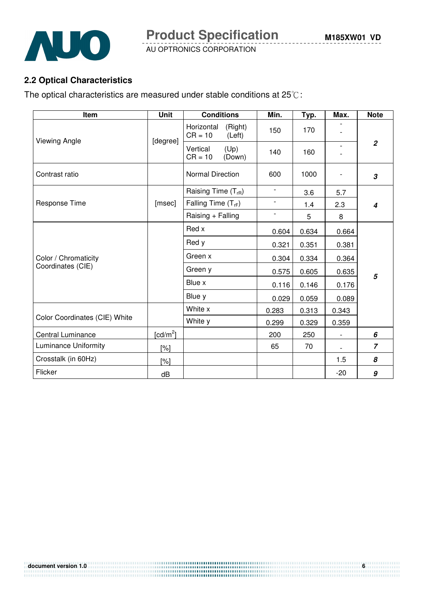

**Product Specification** 

AU OPTRONICS CORPORATION

# **2.2 Optical Characteristics**

The optical characteristics are measured under stable conditions at  $25^{\circ}$ C:

| Item                          | <b>Unit</b> | <b>Conditions</b>                            | Min.                     | Typ.  | Max.                     | <b>Note</b>                |
|-------------------------------|-------------|----------------------------------------------|--------------------------|-------|--------------------------|----------------------------|
|                               | [degree]    | (Right)<br>Horizontal<br>$CR = 10$<br>(Left) | 150                      | 170   |                          |                            |
| Viewing Angle                 |             | Vertical<br>(Up)<br>$CR = 10$<br>(Down)      | 140                      | 160   |                          | $\overline{2}$             |
| Contrast ratio                |             | <b>Normal Direction</b>                      | 600                      | 1000  |                          | $\boldsymbol{\mathcal{S}}$ |
|                               |             | Raising Time $(T_{rR})$                      | $\overline{\phantom{a}}$ | 3.6   | 5.7                      |                            |
| Response Time                 | [msec]      | Falling Time $(T_{rF})$                      | $\overline{\phantom{a}}$ | 1.4   | 2.3                      | $\boldsymbol{4}$           |
|                               |             | Raising + Falling                            | $\overline{\phantom{0}}$ | 5     | 8                        |                            |
|                               |             | Red x                                        | 0.604                    | 0.634 | 0.664                    |                            |
| Color / Chromaticity          |             | Red y                                        | 0.321                    | 0.351 | 0.381                    |                            |
|                               |             | Green x                                      | 0.304                    | 0.334 | 0.364                    |                            |
| Coordinates (CIE)             |             | Green y                                      | 0.575                    | 0.605 | 0.635                    | 5                          |
|                               |             | Blue x                                       | 0.116                    | 0.146 | 0.176                    |                            |
|                               |             | Blue y                                       | 0.029                    | 0.059 | 0.089                    |                            |
|                               |             | White x                                      | 0.283                    | 0.313 | 0.343                    |                            |
| Color Coordinates (CIE) White |             | White y                                      | 0.299                    | 0.329 | 0.359                    |                            |
| Central Luminance             | [ $cd/m2$ ] |                                              | 200                      | 250   | $\overline{\phantom{a}}$ | 6                          |
| Luminance Uniformity          | [%]         |                                              | 65                       | 70    |                          | $\overline{z}$             |
| Crosstalk (in 60Hz)           | $[\%]$      |                                              |                          |       | 1.5                      | 8                          |
| Flicker                       | dB          |                                              |                          |       | $-20$                    | 9                          |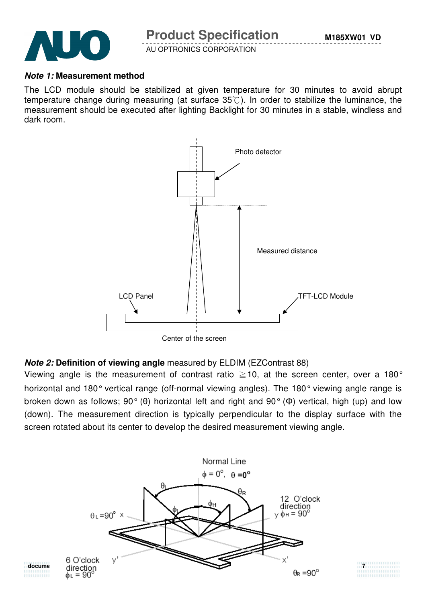

## **Note 1: Measurement method**

The LCD module should be stabilized at given temperature for 30 minutes to avoid abrupt temperature change during measuring (at surface  $35^{\circ}$ ). In order to stabilize the luminance, the measurement should be executed after lighting Backlight for 30 minutes in a stable, windless and dark room.



## **Note 2: Definition of viewing angle** measured by ELDIM (EZContrast 88)

Viewing angle is the measurement of contrast ratio  $\geq$  10, at the screen center, over a 180° horizontal and 180° vertical range (off-normal viewing angles). The 180° viewing angle range is broken down as follows; 90° (θ) horizontal left and right and 90° (Φ) vertical, high (up) and low (down). The measurement direction is typically perpendicular to the display surface with the screen rotated about its center to develop the desired measurement viewing angle.

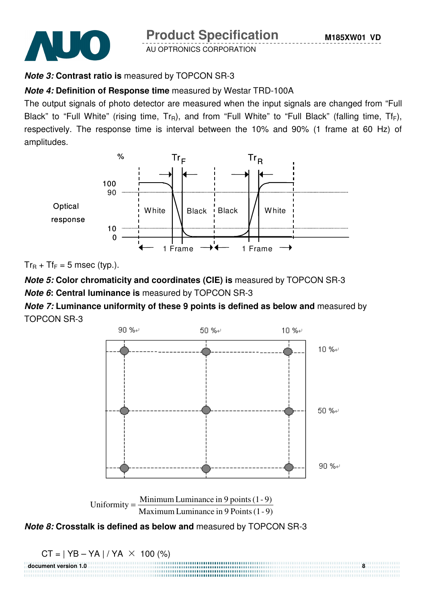



## **Note 3: Contrast ratio is** measured by TOPCON SR-3

## **Note 4: Definition of Response time** measured by Westar TRD-100A

The output signals of photo detector are measured when the input signals are changed from "Full Black" to "Full White" (rising time,  $Tr_R$ ), and from "Full White" to "Full Black" (falling time,  $Tr_F$ ), respectively. The response time is interval between the 10% and 90% (1 frame at 60 Hz) of amplitudes.



 $Tr_R + Tr_F = 5$  msec (typ.).

**Note 5: Color chromaticity and coordinates (CIE) is** measured by TOPCON SR-3 **Note 6: Central luminance is** measured by TOPCON SR-3

**Note 7: Luminance uniformity of these 9 points is defined as below and** measured by TOPCON SR-3





**document version 1.0 8**



 $CT = | YB - YA | / YA \times 100 (%)$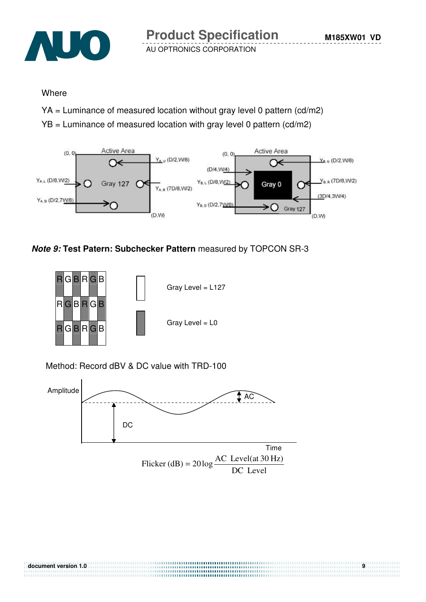

## **Where**

- YA = Luminance of measured location without gray level 0 pattern (cd/m2)
- YB = Luminance of measured location with gray level 0 pattern (cd/m2)



## **Note 9: Test Patern: Subchecker Pattern** measured by TOPCON SR-3



Method: Record dBV & DC value with TRD-100

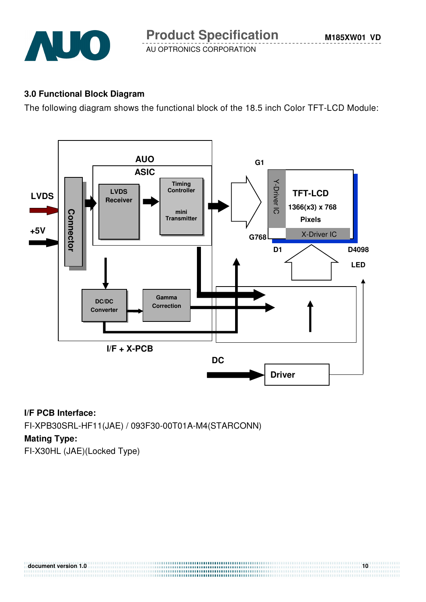

## **3.0 Functional Block Diagram**

The following diagram shows the functional block of the 18.5 inch Color TFT-LCD Module:



**document version 1.0** 10

## **I/F PCB Interface:**

FI-XPB30SRL-HF11(JAE) / 093F30-00T01A-M4(STARCONN)

#### **Mating Type:**

FI-X30HL (JAE)(Locked Type)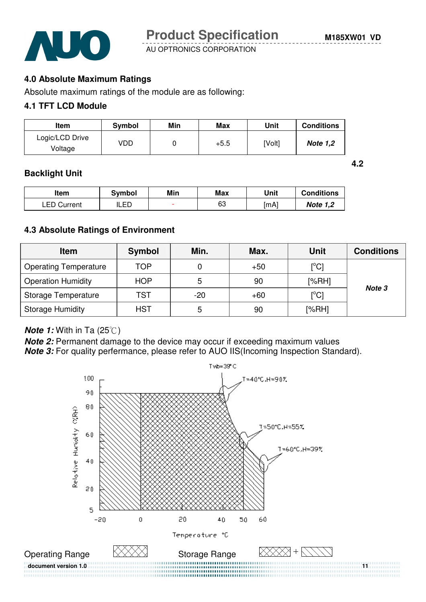AUO

AU OPTRONICS CORPORATION

**4.2** 

## **4.0 Absolute Maximum Ratings**

Absolute maximum ratings of the module are as following:

## **4.1 TFT LCD Module**

| Item                       | Symbol | Min | Max    | Unit   | <b>Conditions</b> |
|----------------------------|--------|-----|--------|--------|-------------------|
| Logic/LCD Drive<br>Voltage | VDD    |     | $+5.5$ | [Volt] | <b>Note 1,2</b>   |

## **Backlight Unit**

| ltem               | <b>Symbol</b> | Min | <b>Max</b> | Unit | <b>Conditions</b> |
|--------------------|---------------|-----|------------|------|-------------------|
| <b>LED Current</b> | LED           |     | 63         | [mA] | <b>Note 1,2</b>   |

## **4.3 Absolute Ratings of Environment**

| <b>Item</b>                  | <b>Symbol</b> | Min.  | Max.  | <b>Unit</b>                        | <b>Conditions</b> |
|------------------------------|---------------|-------|-------|------------------------------------|-------------------|
| <b>Operating Temperature</b> | TOP           |       | $+50$ | $\mathsf{I}^\circ\mathsf{Cl}$      |                   |
| <b>Operation Humidity</b>    | <b>HOP</b>    | 5     | 90    | [%RH]                              | Note 3            |
| Storage Temperature          | TST           | $-20$ | $+60$ | $\mathop{\rm [^{\circ}C}\nolimits$ |                   |
| <b>Storage Humidity</b>      | <b>HST</b>    | 5     | 90    | [%RH]                              |                   |

#### **Note 1:** With in Ta (25°C)

**Note 2:** Permanent damage to the device may occur if exceeding maximum values **Note 3:** For quality perfermance, please refer to AUO IIS(Incoming Inspection Standard).

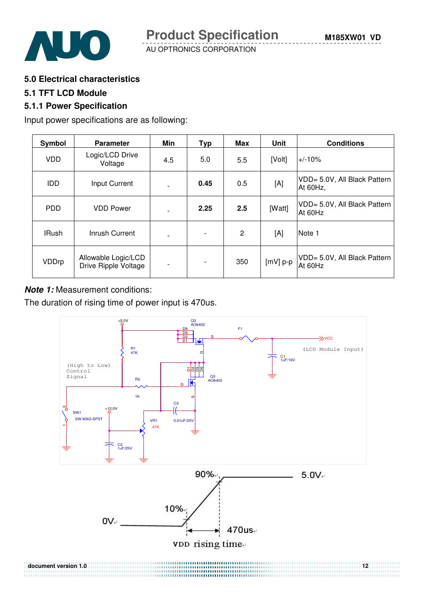



**5.0 Electrical characteristics** 

#### **5.1 TFT LCD Module**

## **5.1.1 Power Specification**

Input power specifications are as following:

| Symbol       | <b>Parameter</b>                            | Min                      | <b>Typ</b> | Max            | <b>Unit</b> | <b>Conditions</b>                        |
|--------------|---------------------------------------------|--------------------------|------------|----------------|-------------|------------------------------------------|
| <b>VDD</b>   | Logic/LCD Drive<br>Voltage                  | 4.5                      | 5.0        | 5.5            | [Volt]      | $+/-10%$                                 |
| <b>IDD</b>   | <b>Input Current</b>                        | $\blacksquare$           | 0.45       | 0.5            | [A]         | VDD= 5.0V, All Black Pattern<br>At 60Hz, |
| <b>PDD</b>   | <b>VDD Power</b>                            | $\overline{\phantom{0}}$ | 2.25       | 2.5            | [Watt]      | VDD= 5.0V, All Black Pattern<br>At 60Hz  |
| <b>IRush</b> | Inrush Current                              | $\overline{\phantom{a}}$ |            | $\overline{2}$ | [A]         | Note 1                                   |
| VDDrp        | Allowable Logic/LCD<br>Drive Ripple Voltage | $\qquad \qquad$          |            | 350            | $[mV]$ p-p  | VDD= 5.0V, All Black Pattern<br>At 60Hz  |

## **Note 1:** Measurement conditions:

The duration of rising time of power input is 470us.



...............................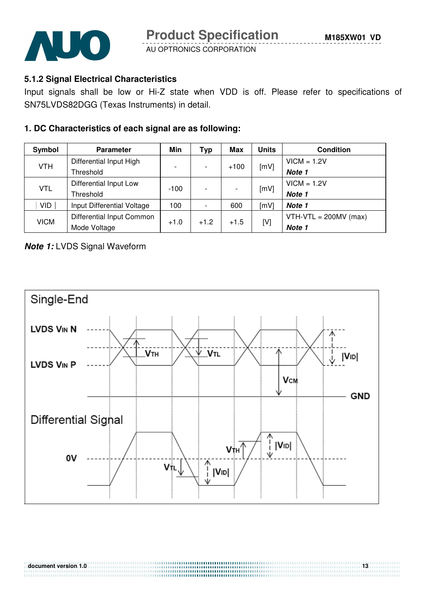

## **5.1.2 Signal Electrical Characteristics**

Input signals shall be low or Hi-Z state when VDD is off. Please refer to specifications of SN75LVDS82DGG (Texas Instruments) in detail.

## **1. DC Characteristics of each signal are as following:**

| Symbol      | <b>Parameter</b>           | Min                      | Тур    | Max    | Units | <b>Condition</b>        |
|-------------|----------------------------|--------------------------|--------|--------|-------|-------------------------|
| <b>VTH</b>  | Differential Input High    |                          |        |        |       | $VICM = 1.2V$           |
|             | Threshold                  | $\overline{\phantom{0}}$ |        | $+100$ | [mV]  | Note 1                  |
|             | Differential Input Low     |                          |        |        |       | $VICM = 1.2V$           |
| <b>VTL</b>  | Threshold                  | $-100$                   |        |        | [mV]  | Note 1                  |
| <b>VID</b>  | Input Differential Voltage | 100                      |        | 600    | [mV]  | Note 1                  |
|             | Differential Input Common  |                          |        |        |       | $VTH-VTL = 200MV (max)$ |
| <b>VICM</b> | Mode Voltage               | $+1.0$                   | $+1.2$ | $+1.5$ | [V]   | Note 1                  |

## **Note 1:** LVDS Signal Waveform

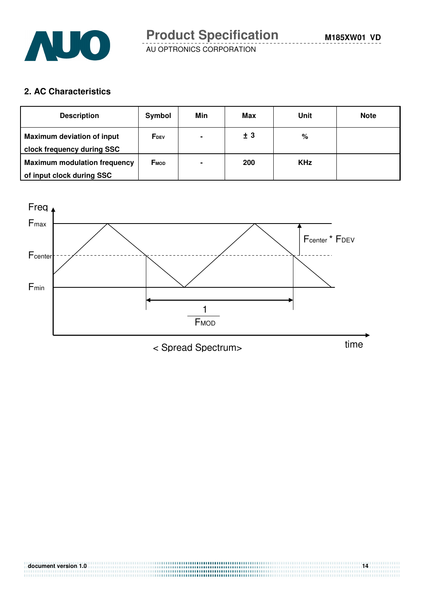

**2. AC Characteristics** 

| <b>Description</b>                                               | Symbol                  | Min            | Max | Unit       | <b>Note</b> |
|------------------------------------------------------------------|-------------------------|----------------|-----|------------|-------------|
| <b>Maximum deviation of input</b><br>clock frequency during SSC  | <b>F</b> <sub>DEV</sub> | $\blacksquare$ | ±3  | %          |             |
| <b>Maximum modulation frequency</b><br>of input clock during SSC | <b>FMOD</b>             | $\blacksquare$ | 200 | <b>KHz</b> |             |

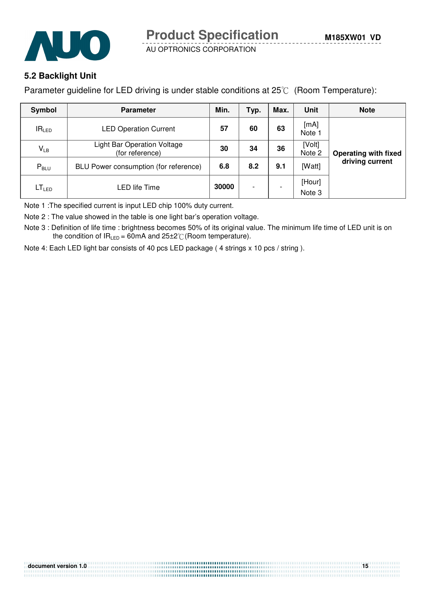



## **5.2 Backlight Unit**

Parameter guideline for LED driving is under stable conditions at  $25^{\circ}$  (Room Temperature):

| Symbol            | <b>Parameter</b>                                      | Min.  | Typ.                     | Max.                     | Unit             | <b>Note</b>                 |
|-------------------|-------------------------------------------------------|-------|--------------------------|--------------------------|------------------|-----------------------------|
| IR <sub>LED</sub> | <b>LED Operation Current</b>                          | 57    | 60                       | 63                       | [mA]<br>Note 1   |                             |
| $V_{LB}$          | <b>Light Bar Operation Voltage</b><br>(for reference) |       | 34                       | 36                       | [Volt]<br>Note 2 | <b>Operating with fixed</b> |
| $P_{\text{BLU}}$  | BLU Power consumption (for reference)                 | 6.8   | 8.2                      | 9.1                      | [Watt]           | driving current             |
| LT <sub>LED</sub> | LED life Time                                         | 30000 | $\overline{\phantom{0}}$ | $\overline{\phantom{0}}$ | [Hour]<br>Note 3 |                             |

Note 1 :The specified current is input LED chip 100% duty current.

Note 2 : The value showed in the table is one light bar's operation voltage.

Note 3 : Definition of life time : brightness becomes 50% of its original value. The minimum life time of LED unit is on the condition of  $IR_{LED} = 60mA$  and  $25\pm2\degree$  (Room temperature).

Note 4: Each LED light bar consists of 40 pcs LED package ( 4 strings x 10 pcs / string ).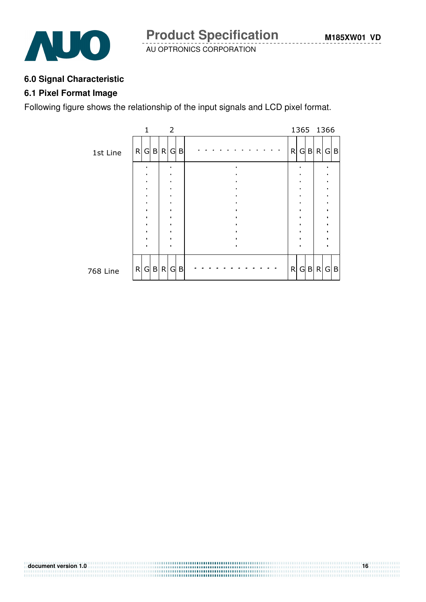



## **6.0 Signal Characteristic**

## **6.1 Pixel Format Image**

Following figure shows the relationship of the input signals and LCD pixel format.



.........................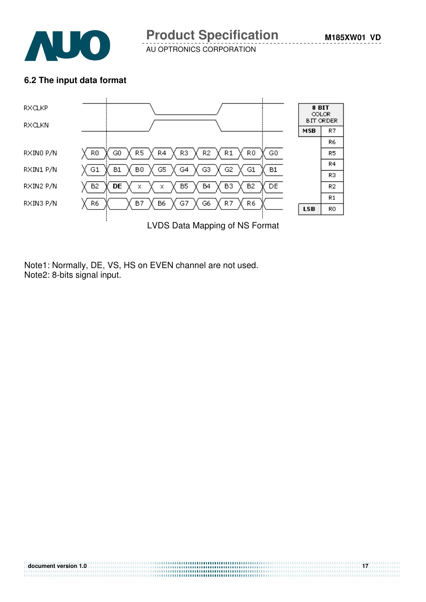

## **6.2 The input data format**



**document version 1.0 17**

Note1: Normally, DE, VS, HS on EVEN channel are not used. Note2: 8-bits signal input.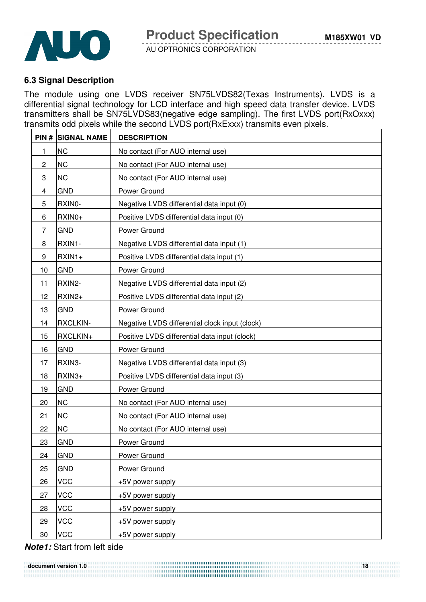

## **6.3 Signal Description**

The module using one LVDS receiver SN75LVDS82(Texas Instruments). LVDS is a differential signal technology for LCD interface and high speed data transfer device. LVDS transmitters shall be SN75LVDS83(negative edge sampling). The first LVDS port(RxOxxx) transmits odd pixels while the second LVDS port(RxExxx) transmits even pixels.

|                | <b>PIN # SIGNAL NAME</b> | <b>DESCRIPTION</b>                             |
|----------------|--------------------------|------------------------------------------------|
| 1              | <b>NC</b>                | No contact (For AUO internal use)              |
| $\overline{c}$ | <b>NC</b>                | No contact (For AUO internal use)              |
| 3              | <b>NC</b>                | No contact (For AUO internal use)              |
| 4              | <b>GND</b>               | Power Ground                                   |
| 5              | RXIN0-                   | Negative LVDS differential data input (0)      |
| 6              | RXIN0+                   | Positive LVDS differential data input (0)      |
| 7              | <b>GND</b>               | Power Ground                                   |
| 8              | RXIN1-                   | Negative LVDS differential data input (1)      |
| 9              | $RXIN1+$                 | Positive LVDS differential data input (1)      |
| 10             | <b>GND</b>               | Power Ground                                   |
| 11             | RXIN2-                   | Negative LVDS differential data input (2)      |
| 12             | RXIN2+                   | Positive LVDS differential data input (2)      |
| 13             | <b>GND</b>               | Power Ground                                   |
| 14             | <b>RXCLKIN-</b>          | Negative LVDS differential clock input (clock) |
| 15             | RXCLKIN+                 | Positive LVDS differential data input (clock)  |
| 16             | <b>GND</b>               | Power Ground                                   |
| 17             | RXIN3-                   | Negative LVDS differential data input (3)      |
| 18             | RXIN3+                   | Positive LVDS differential data input (3)      |
| 19             | <b>GND</b>               | Power Ground                                   |
| 20             | <b>NC</b>                | No contact (For AUO internal use)              |
| 21             | <b>NC</b>                | No contact (For AUO internal use)              |
| 22             | <b>NC</b>                | No contact (For AUO internal use)              |
| 23             | <b>GND</b>               | Power Ground                                   |
| 24             | <b>GND</b>               | Power Ground                                   |
| 25             | <b>GND</b>               | Power Ground                                   |
| 26             | <b>VCC</b>               | +5V power supply                               |
| 27             | <b>VCC</b>               | +5V power supply                               |
| 28             | <b>VCC</b>               | +5V power supply                               |
| 29             | <b>VCC</b>               | +5V power supply                               |
| 30             | <b>VCC</b>               | +5V power supply                               |

## **Note1:** Start from left side

**document version 1.0** 18 ..................................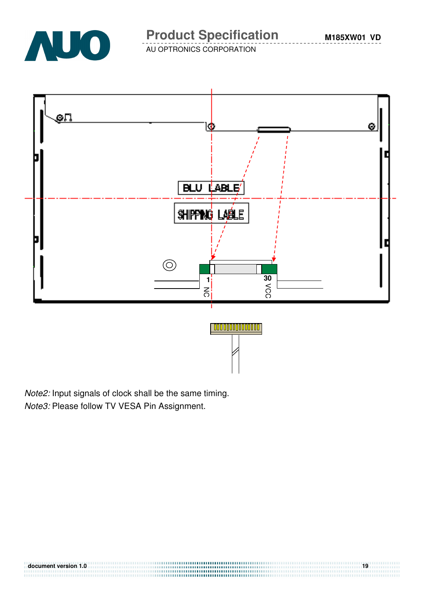

# **Product Specification**

**M185XW01 VD**

AU OPTRONICS CORPORATION



Note2: Input signals of clock shall be the same timing. Note3: Please follow TV VESA Pin Assignment.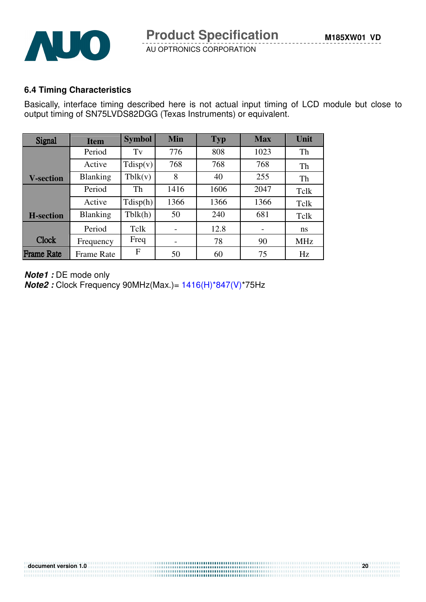

## **6.4 Timing Characteristics**

Basically, interface timing described here is not actual input timing of LCD module but close to output timing of SN75LVDS82DGG (Texas Instruments) or equivalent.

| Signal            | <b>Item</b>       | <b>Symbol</b> | Min  | <b>Typ</b> | <b>Max</b> | Unit       |
|-------------------|-------------------|---------------|------|------------|------------|------------|
|                   | Period            | Tv            | 776  | 808        | 1023       | Th         |
|                   | Active            | Tdisp(v)      | 768  | 768        | 768        | Th         |
| <b>V-section</b>  | <b>Blanking</b>   | Tblk(v)       | 8    | 40         | 255        | Th         |
|                   | Period            | Th            | 1416 | 1606       | 2047       | Tclk       |
|                   | Active            | Tdisp(h)      | 1366 | 1366       | 1366       | Tclk       |
| <b>H</b> -section | <b>Blanking</b>   | Tblk(h)       | 50   | 240        | 681        | Tclk       |
|                   | Period            | Tclk          |      | 12.8       |            | ns         |
| <b>Clock</b>      | Frequency         | Freq          |      | 78         | 90         | <b>MHz</b> |
| <b>Frame Rate</b> | <b>Frame Rate</b> | F             | 50   | 60         | 75         | Hz         |

**document version 1.0 20**

.......................

**Note1 :** DE mode only

**Note2 :** Clock Frequency 90MHz(Max.)= 1416(H)\*847(V)\*75Hz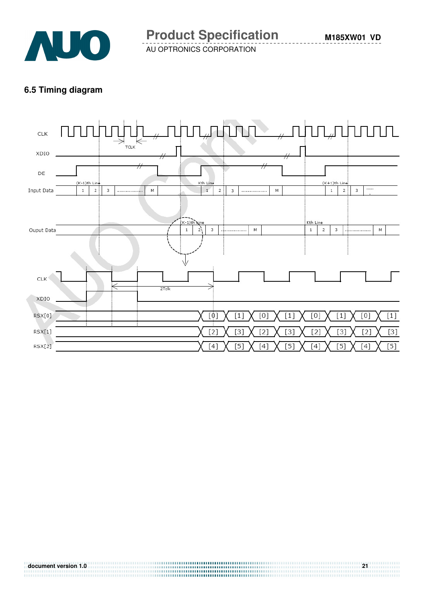

## **6.5 Timing diagram**

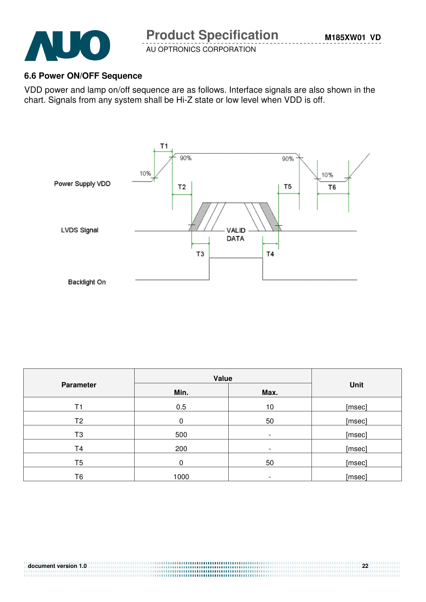

## **6.6 Power ON/OFF Sequence**

VDD power and lamp on/off sequence are as follows. Interface signals are also shown in the chart. Signals from any system shall be Hi-Z state or low level when VDD is off.



|                  | Value        |                          |        |  |
|------------------|--------------|--------------------------|--------|--|
| <b>Parameter</b> | Min.<br>Max. |                          | Unit   |  |
| Τ1               | 0.5          | 10                       | [msec] |  |
| T <sub>2</sub>   | 0            | 50                       | [msec] |  |
| T <sub>3</sub>   | 500          | $\overline{\phantom{a}}$ | [msec] |  |
| T4               | 200          |                          | [msec] |  |
| T <sub>5</sub>   | 0            | 50                       | [msec] |  |
| Т6               | 1000         |                          | [msec] |  |

**document version 1.0 22**

.........................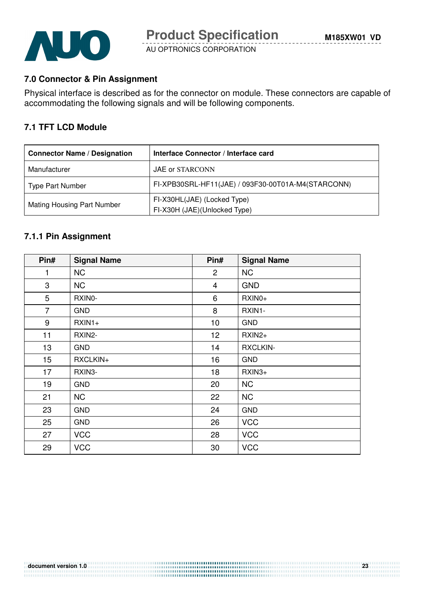

## **7.0 Connector & Pin Assignment**

Physical interface is described as for the connector on module. These connectors are capable of accommodating the following signals and will be following components.

## **7.1 TFT LCD Module**

| <b>Connector Name / Designation</b> | Interface Connector / Interface card                        |
|-------------------------------------|-------------------------------------------------------------|
| Manufacturer                        | JAE or STARCONN                                             |
| <b>Type Part Number</b>             | FI-XPB30SRL-HF11(JAE) / 093F30-00T01A-M4(STARCONN)          |
| Mating Housing Part Number          | FI-X30HL(JAE) (Locked Type)<br>FI-X30H (JAE)(Unlocked Type) |

## **7.1.1 Pin Assignment**

| Pin#           | <b>Signal Name</b> | Pin#           | <b>Signal Name</b> |
|----------------|--------------------|----------------|--------------------|
| 1              | <b>NC</b>          | $\overline{2}$ | <b>NC</b>          |
| 3              | <b>NC</b>          | $\overline{4}$ | <b>GND</b>         |
| 5              | RXINO-             | 6              | RXIN0+             |
| $\overline{7}$ | <b>GND</b>         | 8              | RXIN1-             |
| 9              | $RXIN1+$           | 10             | <b>GND</b>         |
| 11             | RXIN2-             | 12             | RXIN2+             |
| 13             | <b>GND</b>         | 14             | <b>RXCLKIN-</b>    |
| 15             | RXCLKIN+           | 16             | <b>GND</b>         |
| 17             | RXIN3-             | 18             | RXIN3+             |
| 19             | <b>GND</b>         | 20             | <b>NC</b>          |
| 21             | <b>NC</b>          | 22             | <b>NC</b>          |
| 23             | <b>GND</b>         | 24             | <b>GND</b>         |
| 25             | <b>GND</b>         | 26             | <b>VCC</b>         |
| 27             | <b>VCC</b>         | 28             | <b>VCC</b>         |
| 29             | <b>VCC</b>         | 30             | <b>VCC</b>         |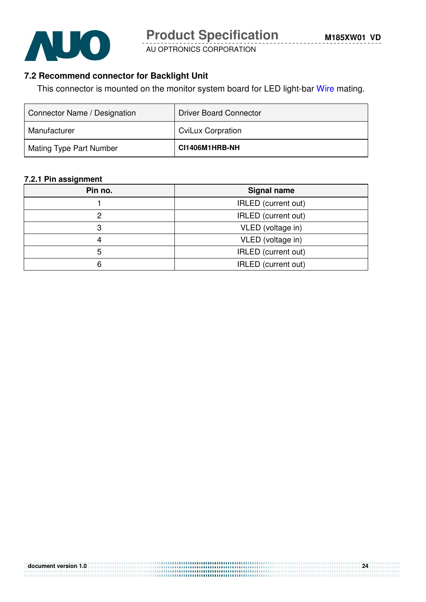

## **7.2 Recommend connector for Backlight Unit**

This connector is mounted on the monitor system board for LED light-bar Wire mating.

| Connector Name / Designation | <b>Driver Board Connector</b> |
|------------------------------|-------------------------------|
| Manufacturer                 | <b>CviLux Corpration</b>      |
| Mating Type Part Number      | CI1406M1HRB-NH                |

#### **7.2.1 Pin assignment**

| Pin no.                    | <b>Signal name</b>  |  |
|----------------------------|---------------------|--|
| IRLED (current out)        |                     |  |
|                            | IRLED (current out) |  |
|                            | VLED (voltage in)   |  |
|                            | VLED (voltage in)   |  |
| <b>IRLED</b> (current out) |                     |  |
| IRLED (current out)        |                     |  |

**document version 1.0 24**

.............................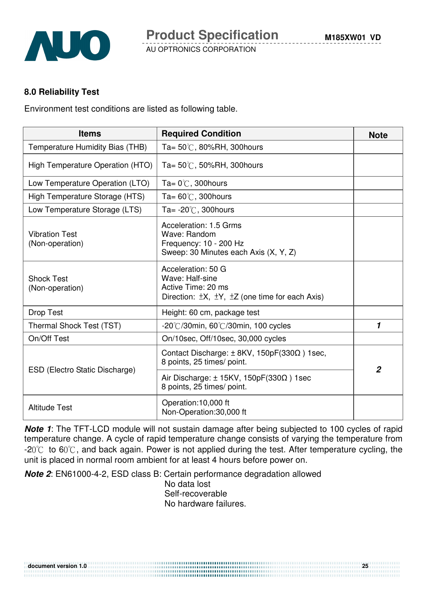

## **8.0 Reliability Test**

Environment test conditions are listed as following table.

| <b>Items</b>                             | <b>Required Condition</b>                                                                                                      | <b>Note</b>    |
|------------------------------------------|--------------------------------------------------------------------------------------------------------------------------------|----------------|
| Temperature Humidity Bias (THB)          | Ta= $50^{\circ}$ C, 80%RH, 300 hours                                                                                           |                |
| High Temperature Operation (HTO)         | Ta= $50^{\circ}$ C, 50%RH, 300 hours                                                                                           |                |
| Low Temperature Operation (LTO)          | Ta= $0^{\circ}$ C, 300 hours                                                                                                   |                |
| High Temperature Storage (HTS)           | Ta= $60^{\circ}$ C, 300 hours                                                                                                  |                |
| Low Temperature Storage (LTS)            | Ta= $-20^{\circ}$ C, 300 hours                                                                                                 |                |
| <b>Vibration Test</b><br>(Non-operation) | Acceleration: 1.5 Grms<br>Wave: Random<br>Frequency: 10 - 200 Hz<br>Sweep: 30 Minutes each Axis (X, Y, Z)                      |                |
| <b>Shock Test</b><br>(Non-operation)     | Acceleration: 50 G<br>Wave: Half-sine<br>Active Time: 20 ms<br>Direction: $\pm X$ , $\pm Y$ , $\pm Z$ (one time for each Axis) |                |
| Drop Test                                | Height: 60 cm, package test                                                                                                    |                |
| Thermal Shock Test (TST)                 | $-20^{\circ}$ /30min, 60 $^{\circ}$ /30min, 100 cycles                                                                         | 1              |
| On/Off Test                              | On/10sec, Off/10sec, 30,000 cycles                                                                                             |                |
|                                          | Contact Discharge: $\pm$ 8KV, 150pF(330 $\Omega$ ) 1sec,<br>8 points, 25 times/ point.                                         | $\overline{2}$ |
| ESD (Electro Static Discharge)           | Air Discharge: $\pm$ 15KV, 150pF(330 $\Omega$ ) 1sec<br>8 points, 25 times/ point.                                             |                |
| <b>Altitude Test</b>                     | Operation:10,000 ft<br>Non-Operation:30,000 ft                                                                                 |                |

**Note 1:** The TFT-LCD module will not sustain damage after being subjected to 100 cycles of rapid temperature change. A cycle of rapid temperature change consists of varying the temperature from  $-20^{\circ}$  to 60 $^{\circ}$ C, and back again. Power is not applied during the test. After temperature cycling, the unit is placed in normal room ambient for at least 4 hours before power on.

**Note 2**: EN61000-4-2, ESD class B: Certain performance degradation allowed

No data lost Self-recoverable No hardware failures.

**document version 1.0 25**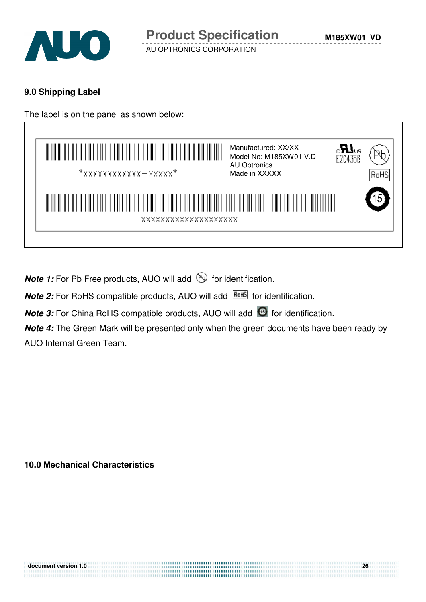

**M185XW01 VD**

AU OPTRONICS CORPORATION

## **9.0 Shipping Label**

The label is on the panel as shown below:



**Note 1:** For Pb Free products, AUO will add **but for identification**.

**Note 2:** For RoHS compatible products, AUO will add **RoHS** for identification.

**Note 3:** For China RoHS compatible products, AUO will add **6** for identification.

**Note 4:** The Green Mark will be presented only when the green documents have been ready by AUO Internal Green Team.

**10.0 Mechanical Characteristics**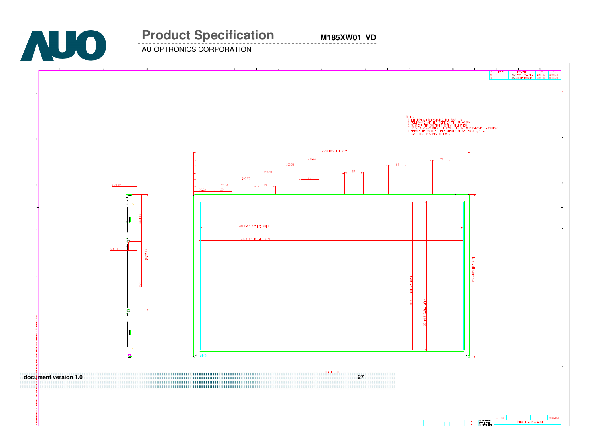

# **Product Specification**

**M185XW01 VD**

AU OPTRONICS CORPORATION

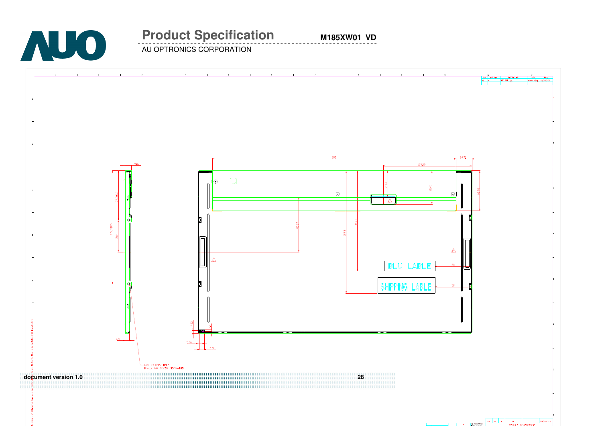

# **Product Specification**

**M185XW01 VD**

AU OPTRONICS CORPORATION

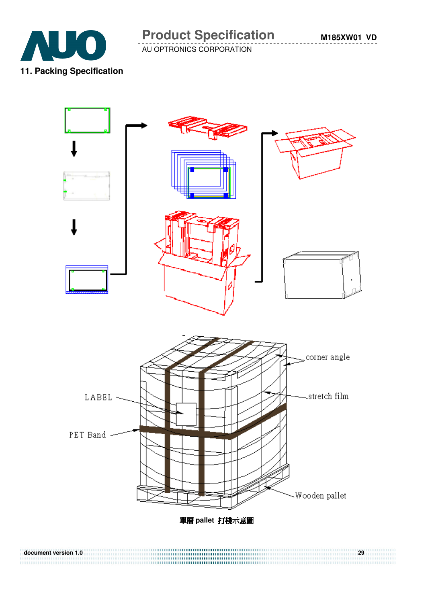